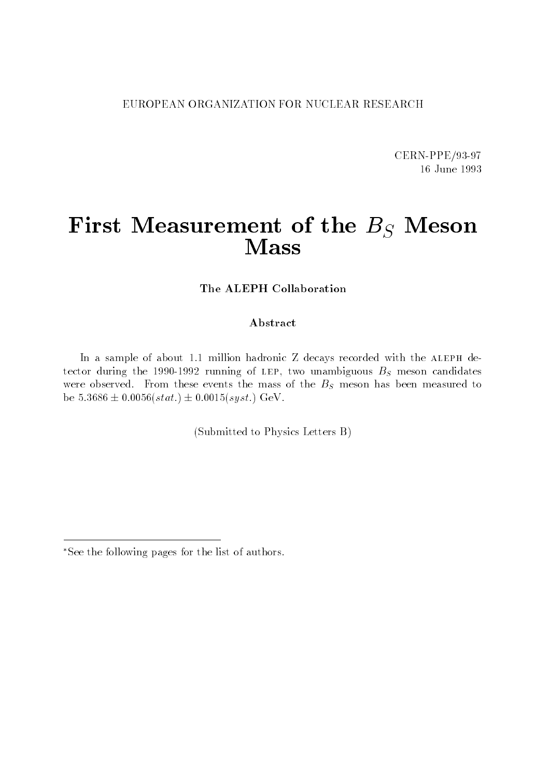#### EUROPEAN ORGANIZATION FOR NUCLEAR RESEARCH

CERN-PPE/93-97 16 June 1993

# First Measurement of the  $B_S$  Meson Mass

The ALEPH Collaboration

#### Abstract

In a sample of about 1.1 million hadronic  $Z$  decays recorded with the ALEPH detector during the 1990-1992 running of LEP, two unambiguous  $B<sub>S</sub>$  meson candidates were observed. From these events the mass of the  $B<sub>S</sub>$  meson has been measured to be  $5.3686 \pm 0.0056(stat.) \pm 0.0015(syst.)$  GeV.

(Submitted to Physics Letters B)

See the following pages for the list of authors.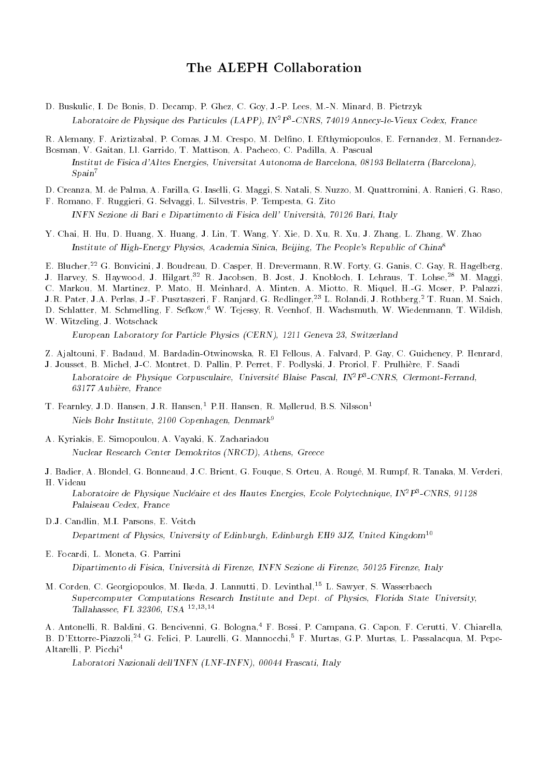#### The ALEPH Collaboration

D. Buskulic, I. De Bonis, D. Decamp, P. Ghez, C. Goy, J.-P. Lees, M.-N. Minard, B. Pietrzyk Laboratoire de Physique des Particules (LAPP), IN2P3 -CNRS, 74019 Annecy-le-Vieux Cedex, France

R. Alemany, F. Ariztizabal, P. Comas, J.M. Crespo, M. Delno, I. Efthymiopoulos, E. Fernandez, M. Fernandez-Bosman, V. Gaitan, Ll. Garrido, T. Mattison, A. Pacheco, C. Padilla, A. Pascual

Institut de Fisica d'Altes Energies, Universitat Autonoma de Barcelona, 08193 Bellaterra (Barcelona),  $Span<sup>7</sup>$ 

D. Creanza, M. de Palma, A. Farilla, G. Iaselli, G. Maggi, S. Natali, S. Nuzzo, M. Quattromini, A. Ranieri, G. Raso,

- F. Romano, F. Ruggieri, G. Selvaggi, L. Silvestris, P. Tempesta, G. Zito INFN Sezione di Bari e Dipartimento di Fisica dell' Universita, 70126 Bari, Italy
- Y. Chai, H. Hu, D. Huang, X. Huang, J. Lin, T. Wang, Y. Xie, D. Xu, R. Xu, J. Zhang, L. Zhang, W. Zhao Institute of High-Energy Physics, Academia Sinica, Beijing, The People's Republic of China<sup>8</sup>

E. Blucher,<sup>22</sup> G. Bonvicini, J. Boudreau, D. Casper, H. Drevermann, R.W. Forty, G. Ganis, C. Gay, R. Hagelberg, J. Harvey, S. Haywood, J. Hilgart,<sup>32</sup> R. Jacobsen, B. Jost, J. Knobloch, I. Lehraus, T. Lohse,<sup>28</sup> M. Maggi, C. Markou, M. Martinez, P. Mato, H. Meinhard, A. Minten, A. Miotto, R. Miquel, H.-G. Moser, P. Palazzi, J.R. Pater, J.A. Perlas, J.-F. Pusztaszeri, F. Ranjard, G. Redlinger,<sup>23</sup> L. Rolandi, J. Rothberg,<sup>2</sup> T. Ruan, M. Saich, D. Schlatter, M. Schmelling, F. Sefkow,<sup>6</sup> W. Tejessy, R. Veenhof, H. Wachsmuth, W. Wiedenmann, T. Wildish, W. Witzeling, J. Wotschack

European Laboratory for Particle Physics (CERN), 1211 Geneva 23, Switzerland

Z. Ajaltouni, F. Badaud, M. Bardadin-Otwinowska, R. El Fellous, A. Falvard, P. Gay, C. Guicheney, P. Henrard,

J. Jousset, B. Michel, J-C. Montret, D. Pallin, P. Perret, F. Podlyski, J. Proriol, F. Prulhiere, F. Saadi Laboratoire de Physique Corpusculaire, Universite Blaise Pascal, INTP-CNRS, Clermont-Ferrand, 63177 Aubiere, France

- T. Fearnley, J.D. Hansen, J.R. Hansen,<sup>1</sup> P.H. Hansen, R. Møllerud, B.S. Nilsson<sup>1</sup> Niels Bohr Institute, 2100 Copenhagen, Denmark<sup>9</sup>
- A. Kyriakis, E. Simopoulou, A. Vayaki, K. Zachariadou Nuclear Research Center Demokritos (NRCD), Athens, Greece
- J. Badier, A. Blondel, G. Bonneaud, J.C. Brient, G. Fouque, S. Orteu, A. Rouge, M. Rumpf, R. Tanaka, M. Verderi, H. Videau

Laboratoire de Physique Nucleaire et des Hautes Energies, Ecole Polytechnique, IN<sup>-</sup>P<sup>-</sup>-CNRS, 91128 Palaiseau Cedex, France

D.J. Candlin, M.I. Parsons, E. Veitch

Department of Physics, University of Edinburgh, Edinburgh EH9 3JZ, United Kingdom<sup>10</sup>

E. Focardi, L. Moneta, G. Parrini

Dipartimento di Fisica, Universita di Firenze, INFN Sezione di Firenze, 50125 Firenze, Italy

M. Corden, C. Georgiopoulos, M. Ikeda, J. Lannutti, D. Levinthal,<sup>15</sup> L. Sawyer, S. Wasserbaech Supercomputer Computations Research Institute and Dept. of Physics, Florida State University, Tallahassee, FL 32306, USA 12;13;14

A. Antonelli, R. Baldini, G. Bencivenni, G. Bologna,<sup>4</sup> F. Bossi, P. Campana, G. Capon, F. Cerutti, V. Chiarella, B. D'Ettorre-Piazzoli,<sup>24</sup> G. Felici, P. Laurelli, G. Mannocchi,<sup>5</sup> F. Murtas, G.P. Murtas, L. Passalacqua, M. Pepe-Altarelli, P. Picchi4

Laboratori Nazionali dell'INFN (LNF-INFN), 00044 Frascati, Italy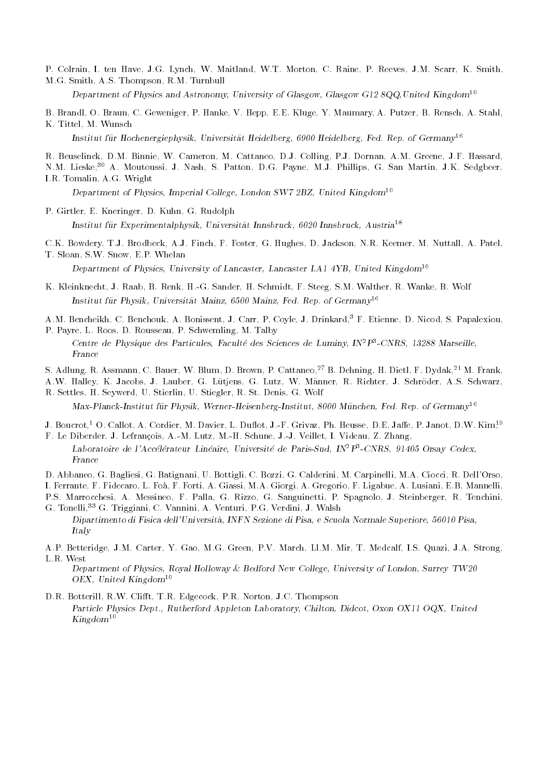P. Colrain, I. ten Have, J.G. Lynch, W. Maitland, W.T. Morton, C. Raine, P. Reeves, J.M. Scarr, K. Smith, M.G. Smith, A.S. Thompson, R.M. Turnbull

Department of Physics and Astronomy, University of Glasgow, Glasgow G12 8QQ, United Kingdom<sup>10</sup>

- B. Brandl, O. Braun, C. Geweniger, P. Hanke, V. Hepp, E.E. Kluge, Y. Maumary, A. Putzer, B. Rensch, A. Stahl,
- K. Tittel, M. Wunsch Institut für Hochenergiephysik, Universität Heidelberg, 6900 Heidelberg, Fed. Rep. of Germany<sup>16</sup>
- R. Beuselinck, D.M. Binnie, W. Cameron, M. Cattaneo, D.J. Colling, P.J. Dornan, A.M. Greene, J.F. Hassard, N.M. Lieske,<sup>30</sup> A. Moutoussi, J. Nash, S. Patton, D.G. Payne, M.J. Phillips, G. San Martin, J.K. Sedgbeer, I.R. Tomalin, A.G. Wright

Department of Physics, Imperial College, London SW7 2BZ, United Kingdom<sup>10</sup>

P. Girtler, E. Kneringer, D. Kuhn, G. Rudolph

Institut fur Experimentalphysik, Universitat Innsbruck, 6020 Innsbruck, Austria<sup>18</sup>

C.K. Bowdery, T.J. Brodbeck, A.J. Finch, F. Foster, G. Hughes, D. Jackson, N.R. Keemer, M. Nuttall, A. Patel, T. Sloan, S.W. Snow, E.P. Whelan

Department of Physics, University of Lancaster, Lancaster LA1 4YB, United Kingdom<sup>10</sup>

- K. Kleinknecht, J. Raab, B. Renk, H.-G. Sander, H. Schmidt, F. Steeg, S.M. Walther, R. Wanke, B. Wolf Institut fur Physik, Universitat Mainz, 6500 Mainz, Fed. Rep. of Germany<sup>16</sup>
- A.M. Bencheikh, C. Benchouk, A. Bonissent, J. Carr, P. Coyle, J. Drinkard,3 F. Etienne, D. Nicod, S. Papalexiou,
- P. Payre, L. Roos, D. Rousseau, P. Schwemling, M. Talby Centre de Physique des Particules, Faculte des Sciences de Luminy, IN<sup>2</sup>P<sup>3</sup>-CNRS, 13288 Marseille,
- S. Adlung, R. Assmann, C. Bauer, W. Blum, D. Brown, P. Cattaneo,<sup>27</sup> B. Dehning, H. Dietl, F. Dydak,21 M. Frank,
- A.W. Halley, K. Jacobs, J. Lauber, G. Lutjens, G. Lutz, W. Manner, R. Richter, J. Schroder, A.S. Schwarz, R. Settles, H. Seywerd, U. Stierlin, U. Stiegler, R. St. Denis, G. Wolf

 $Max-Planck-Institut für Physik, Werner-Heisenberg-Institut, 8000 München, Fed. Rep. of Germany<sup>16</sup>$ 

- J. Boucrot,<sup>1</sup> O. Callot, A. Cordier, M. Davier, L. Duflot, J.-F. Grivaz, Ph. Heusse, D.E. Jaffe, P. Janot, D.W. Kim<sup>19</sup> F. Le Diberder, J. Lefrancois, A.-M. Lutz, M.-H. Schune, J.-J. Veillet, I. Videau, Z. Zhang,
- Laboratoire de l'Accélérateur Linéaire, Université de Paris-Sud, IN<sup>2</sup>P<sup>3</sup>-CNRS, 91405 Orsay Cedex, France
- D. Abbaneo, G. Bagliesi, G. Batignani, U. Bottigli, C. Bozzi, G. Calderini, M. Carpinelli, M.A. Ciocci, R. Dell'Orso, I. Ferrante, F. Fidecaro, L. Foa, F. Forti, A. Giassi, M.A. Giorgi, A. Gregorio, F. Ligabue, A. Lusiani, E.B. Mannelli, P.S. Marrocchesi, A. Messineo, F. Palla, G. Rizzo, G. Sanguinetti, P. Spagnolo, J. Steinberger, R. Tenchini, G. Tonelli,<sup>33</sup> G. Triggiani, C. Vannini, A. Venturi, P.G. Verdini, J. Walsh
- Dipartimento di Fisica dell'Universita, INFN Sezione di Pisa, e Scuola Normale Superiore, 56010 Pisa, Italy
- A.P. Betteridge, J.M. Carter, Y. Gao, M.G. Green, P.V. March, Ll.M. Mir, T. Medcalf, I.S. Quazi, J.A. Strong, L.R. West

Department of Physics, Royal Holloway & Bedford New College, University of London, Surrey TW20 OEX, United Kingdom<sup>10</sup>

D.R. Botterill, R.W. Clifft, T.R. Edgecock, P.R. Norton, J.C. Thompson Particle Physics Dept., Rutherford Appleton Laboratory, Chilton, Didcot, Oxon OX11 OQX, United  $Kingdom^{10}$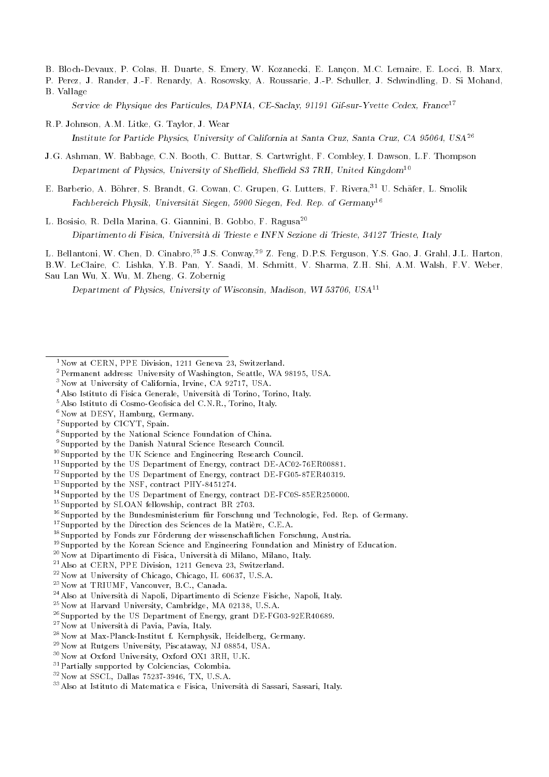B. Bloch-Devaux, P. Colas, H. Duarte, S. Emery, W. Kozanecki, E. Lancon, M.C. Lemaire, E. Locci, B. Marx,

P. Perez, J. Rander, J.-F. Renardy, A. Rosowsky, A. Roussarie, J.-P. Schuller, J. Schwindling, D. Si Mohand, B. Vallage

Service de Physique des Particules, DAPNIA, CE-Saclay, 91191 Gif-sur-Yvette Cedex, France<sup>17</sup>

- R.P. Johnson, A.M. Litke, G. Taylor, J. Wear Institute for Particle Physics, University of California at Santa Cruz, Santa Cruz, CA 95064, USA<sup>26</sup>
- J.G. Ashman, W. Babbage, C.N. Booth, C. Buttar, S. Cartwright, F. Combley, I. Dawson, L.F. Thompson Department of Physics, University of Sheffield, Sheffield S3 7RH, United Kingdom<sup>10</sup>
- E. Barberio, A. Böhrer, S. Brandt, G. Cowan, C. Grupen, G. Lutters, F. Rivera, 31 U. Schäfer, L. Smolik Fachbereich Physik, Universität Siegen, 5900 Siegen, Fed. Rep. of  $Germanv^{16}$
- L. Bosisio, R. Della Marina, G. Giannini, B. Gobbo, F. Ragusa<sup>20</sup> Dipartimento di Fisica, Universita di Trieste e INFN Sezione di Trieste, 34127 Trieste, Italy

L. Bellantoni, W. Chen, D. Cinabro,<sup>25</sup> J.S. Conway,<sup>29</sup> Z. Feng, D.P.S. Ferguson, Y.S. Gao, J. Grahl, J.L. Harton, B.W. LeClaire, C. Lishka, Y.B. Pan, Y. Saadi, M. Schmitt, V. Sharma, Z.H. Shi, A.M. Walsh, F.V. Weber, Sau Lan Wu, X. Wu, M. Zheng, G. Zobernig

Department of Physics, University of Wisconsin, Madison, WI 53706, USA11

- 3Now at University of California, Irvine, CA 92717, USA.
- 4Also Istituto di Fisica Generale, Universita di Torino, Torino, Italy.
- $5$ Also Istituto di Cosmo-Geofisica del C.N.R., Torino, Italy.
- 6Now at DESY, Hamburg, Germany.
- 7Supported by CICYT, Spain.
- 8Supported by the National Science Foundation of China.
- 9Supported by the Danish Natural Science Research Council.
- 10Supported by the UK Science and Engineering Research Council.
- <sup>11</sup>Supported by the US Department of Energy, contract DE-AC02-76ER00881.
- $12$ Supported by the US Department of Energy, contract DE-FG05-87ER40319.
- 13Supported by the NSF, contract PHY-8451274.
- 14Supported by the US Department of Energy, contract DE-FC0S-85ER250000.
- 15Supported by SLOAN fellowship, contract BR 2703.
- <sup>16</sup>Supported by the Bundesministerium für Forschung und Technologie, Fed. Rep. of Germany.
- <sup>17</sup>Supported by the Direction des Sciences de la Matière, C.E.A.
- <sup>18</sup>Supported by Fonds zur Förderung der wissenschaftlichen Forschung, Austria.
- 19Supported by the Korean Science and Engineering Foundation and Ministry of Education.
- 20Now at Dipartimento di Fisica, Universita di Milano, Milano, Italy.
- 21Also at CERN, PPE Division, 1211 Geneva 23, Switzerland.
- 22Now at University of Chicago, Chicago, IL 60637, U.S.A.
- 23Now at TRIUMF, Vancouver, B.C., Canada.
- 24Also at Universita di Napoli, Dipartimento di Scienze Fisiche, Napoli, Italy.
- 25Now at Harvard University, Cambridge, MA 02138, U.S.A.
- 26Supported by the US Department of Energy, grant DE-FG03-92ER40689.
- 27Now at Universita di Pavia, Pavia, Italy.
- 28Now at Max-Planck-Institut f. Kernphysik, Heidelberg, Germany.
- 29Now at Rutgers University, Piscataway, NJ 08854, USA.
- 30Now at Oxford University, Oxford OX1 3RH, U.K.
- 31Partially supported by Colciencias, Colombia.
- 32Now at SSCL, Dallas 75237-3946, TX, U.S.A.
- 33Also at Istituto di Matematica e Fisica, Universita di Sassari, Sassari, Italy.

<sup>&</sup>lt;sup>1</sup>Now at CERN, PPE Division, 1211 Geneva 23, Switzerland.

<sup>2</sup>Permanent address: University of Washington, Seattle, WA 98195, USA.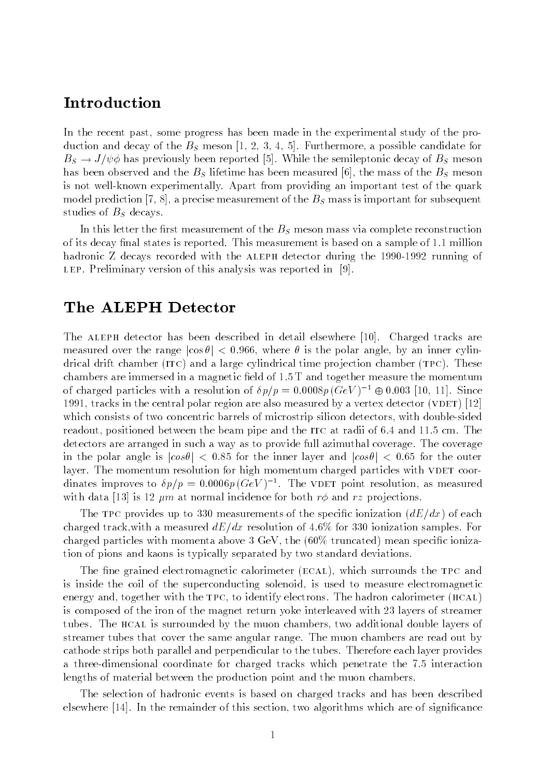# Introduction

In the recent past, some progress has been made in the experimental study of the production and decay of the  $B<sub>S</sub>$  meson [1, 2, 3, 4, 5]. Furthermore, a possible candidate for  $B_s \to J/\psi \phi$  has previously been reported [5]. While the semileptonic decay of  $B_s$  meson has been observed and the  $B<sub>S</sub>$  lifetime has been measured [6], the mass of the  $B<sub>S</sub>$  meson is not well-known experimentally. Apart from providing an important test of the quark model prediction [7, 8], a precise measurement of the  $B<sub>S</sub>$  mass is important for subsequent studies of  $B<sub>S</sub>$  decays.

In this letter the first measurement of the  $B<sub>S</sub>$  meson mass via complete reconstruction of its decay final states is reported. This measurement is based on a sample of 1.1 million hadronic Z decays recorded with the ALEPH detector during the 1990-1992 running of LEP. Preliminary version of this analysis was reported in  $[9]$ .

# The ALEPH Detector

The ALEPH detector has been described in detail elsewhere [10]. Charged tracks are measured over the range  $|\cos \theta| < 0.966$ , where  $\theta$  is the polar angle, by an inner cylindrical drift chamber (ITC) and a large cylindrical time projection chamber (TPC). These chambers are immersed in a magnetic field of  $1.5$  T and together measure the momentum of charged particles with a resolution of  $\delta p/p = 0.0008p$  (GeV)<sup>-1</sup>  $\oplus$  0.003 [10, 11]. Since 1991, tracks in the central polar region are also measured by a vertex detector (VDET)  $[12]$ which consists of two concentric barrels of microstrip silicon detectors, with double-sided readout, positioned between the beam pipe and the ITC at radii of 6.4 and 11.5 cm. The detectors are arranged in such a way as to provide full azimuthal coverage. The coverage in the polar angle is  $|cos\theta|$  < 0.85 for the inner layer and  $|cos\theta|$  < 0.65 for the outer layer. The momentum resolution for high momentum charged particles with VDET coordinates improves to  $\mathfrak{op}/p = 0.0000p$  (GeV )  $\ulcorner$ . The videt point resolution, as measured with data [13] is 12  $\mu$ m at normal incidence for both  $r\phi$  and  $rz$  projections.

The TPC provides up to 330 measurements of the specific ionization  $\left(\frac{dE}{dx}\right)$  of each charged track, with a measured  $dE/dx$  resolution of 4.6% for 330 ionization samples. For charged particles with momenta above  $3 \text{ GeV}$ , the  $60\%$  truncated) mean specific ionization of pions and kaons is typically separated by two standard deviations.

The fine grained electromagnetic calorimeter (ECAL), which surrounds the TPC and is inside the coil of the superconducting solenoid, is used to measure electromagnetic energy and, together with the TPC, to identify electrons. The hadron calorimeter (HCAL) is composed of the iron of the magnet return yoke interleaved with 23 layers of streamer tubes. The hcal is surrounded by the muon chambers, two additional double layers of streamer tubes that cover the same angular range. The muon chambers are read out by cathode strips both parallel and perpendicular to the tubes. Therefore each layer provides a three-dimensional coordinate for charged tracks which penetrate the 7.5 interaction lengths of material between the production point and the muon chambers.

The selection of hadronic events is based on charged tracks and has been described elsewhere [14]. In the remainder of this section, two algorithms which are of significance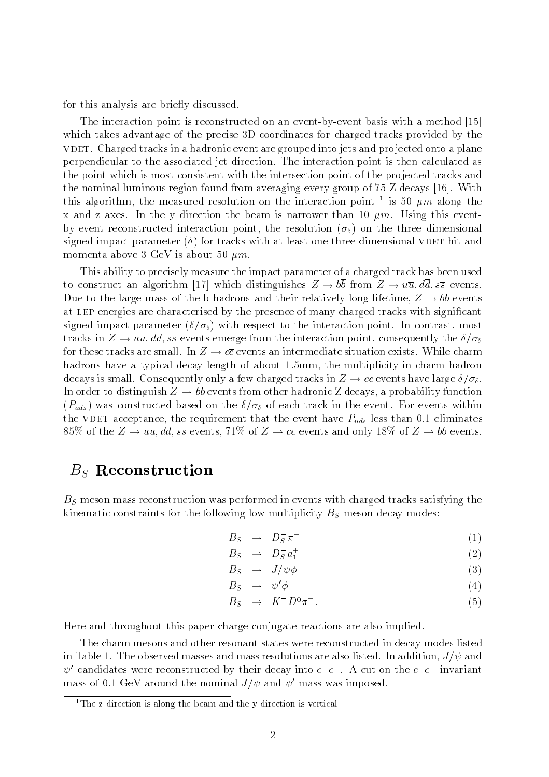for this analysis are briefly discussed.

The interaction point is reconstructed on an event-by-event basis with a method [15] which takes advantage of the precise 3D coordinates for charged tracks provided by the vDET. Charged tracks in a hadronic event are grouped into jets and projected onto a plane perpendicular to the associated jet direction. The interaction point is then calculated as the point which is most consistent with the intersection point of the projected tracks and the nominal luminous region found from averaging every group of 75 Z decays [16]. With this algorithm, the measured resolution on the interaction point  $\bar{\ }$  is 50  $\mu m$  along the x and z axes. In the y direction the beam is narrower than 10  $\mu$ m. Using this eventby-event reconstructed interaction point, the resolution  $(\sigma_{\delta})$  on the three dimensional signed impact parameter  $(\delta)$  for tracks with at least one three dimensional VDET hit and momenta above 3 GeV is about 50  $\mu$ m.

This ability to precisely measure the impact parameter of a charged track has been used to construct an algorithm [17] which distinguishes  $Z \to b\overline{b}$  from  $Z \to u\overline{u}, d\overline{d}, s\overline{s}$  events. Due to the large mass of the b hadrons and their relatively long lifetime,  $Z \rightarrow b\overline{b}$  events at LEP energies are characterised by the presence of many charged tracks with significant signed impact parameter  $(\delta/\sigma_{\delta})$  with respect to the interaction point. In contrast, most tracks in  $Z \to u\overline{u}$ , dd,  $s\overline{s}$  events emerge from the interaction point, consequently the  $\delta/\sigma_{\delta}$ for these tracks are small. In  $Z \to c\overline{c}$  events an intermediate situation exists. While charm hadrons have a typical decay length of about 1.5mm, the multiplicity in charm hadron decays is small. Consequently only a few charged tracks in  $Z \to c\overline{c}$  events have large  $\delta/\sigma_{\delta}$ . In order to distinguish  $Z \rightarrow bb$  events from other hadronic Z decays, a probability function  $(P_{uds})$  was constructed based on the  $\delta/\sigma_{\delta}$  of each track in the event. For events within the VDET acceptance, the requirement that the event have  $P_{uds}$  less than 0.1 eliminates 85% of the  $Z \to u\overline{u}$ ,  $d\overline{d}$ ,  $s\overline{s}$  events, 71% of  $Z \to c\overline{c}$  events and only 18% of  $Z \to b\overline{b}$  events.

## $B_S$  Reconstruction

 $B<sub>S</sub>$  meson mass reconstruction was performed in events with charged tracks satisfying the kinematic constraints for the following low multiplicity  $B<sub>S</sub>$  meson decay modes:

$$
B_S \rightarrow D_S^- \pi^+ \tag{1}
$$

$$
B_S \rightarrow D_S^- a_1^+ \tag{2}
$$

$$
B_S \rightarrow J/\psi \phi \tag{3}
$$

$$
B_S \rightarrow \psi' \phi \tag{4}
$$

$$
B_S \to K^- \overline{D^0} \pi^+.
$$
 (5)

Here and throughout this paper charge conjugate reactions are also implied.

The charm mesons and other resonant states were reconstructed in decay modes listed in Table 1. The observed masses and mass resolutions are also listed. In addition,  $J/\psi$  and  $\psi$  candidates were reconstructed by their decay into  $e^+e^-$  . A cut on the  $e^+e^-$  invariant mass of 0.1 GeV around the nominal  $J/\psi$  and  $\psi'$  mass was imposed.

<sup>&</sup>lt;sup>1</sup>The z direction is along the beam and the y direction is vertical.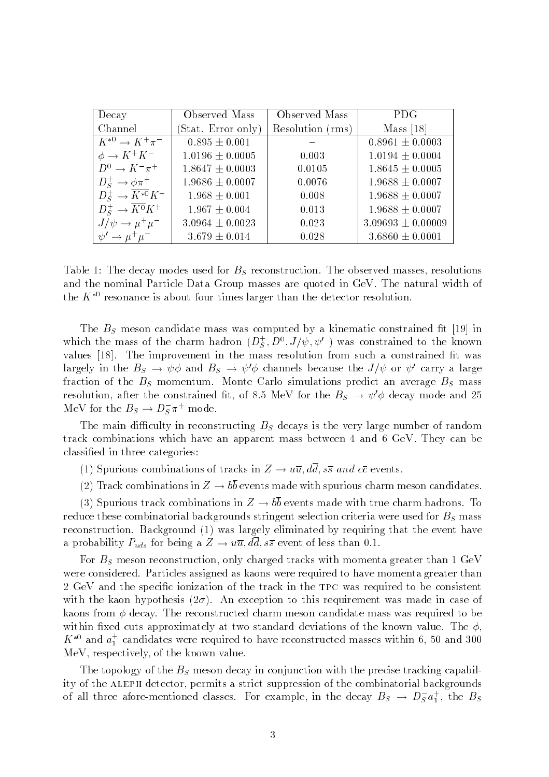| Decay                                    | Observed Mass                | Observed Mass    | <b>PDG</b>            |
|------------------------------------------|------------------------------|------------------|-----------------------|
| Channel                                  | (Stat. Error only)           | Resolution (rms) | Mass $[18]$           |
| $K^{*0} \rightarrow \overline{K^+\pi^-}$ | $\overline{0.895 \pm 0.001}$ |                  | $0.8961 \pm 0.0003$   |
| $\phi \rightarrow K^+K^-$                | $1.0196 \pm 0.0005$          | 0.003            | $1.0194 \pm 0.0004$   |
| $D^0 \rightarrow K^- \pi^+$              | $1.8647 \pm 0.0003$          | 0.0105           | $1.8645 \pm 0.0005$   |
| $D_S^+ \rightarrow \phi \pi^+$           | $1.9686 \pm 0.0007$          | 0.0076           | $1.9688 \pm 0.0007$   |
| $D_s^+ \to \overline{K^{*0}}K^+$         | $1.968 \pm 0.001$            | 0.008            | $1.9688 \pm 0.0007$   |
| $D_s^+ \to \overline{K^0} K^+$           | $1.967 \pm 0.004$            | 0.013            | $1.9688 \pm 0.0007$   |
| $J/\psi \rightarrow \mu^+\mu^-$          | $3.0964 \pm 0.0023$          | 0.023            | $3.09693 \pm 0.00009$ |
| $\psi' \rightarrow \mu^+ \mu^-$          | $3.679 \pm 0.014$            | 0.028            | $3.6860 \pm 0.0001$   |

Table 1: The decay modes used for  $B<sub>S</sub>$  reconstruction. The observed masses, resolutions and the nominal Particle Data Group masses are quoted in GeV. The natural width of the  $K^{*0}$  resonance is about four times larger than the detector resolution.

The  $B<sub>S</sub>$  meson candidate mass was computed by a kinematic constrained fit [19] in which the mass of the charm hadron  $(D_S, D^c, J/\psi, \psi^c)$  was constrained to the known values [18]. The improvement in the mass resolution from such a constrained fit was largely in the  $B_s \to \psi \phi$  and  $B_s \to \psi' \phi$  channels because the  $J/\psi$  or  $\psi'$  carry a large fraction of the  $B<sub>S</sub>$  momentum. Monte Carlo simulations predict an average  $B<sub>S</sub>$  mass resolution, after the constrained fit, of 8.5 MeV for the  $B_s \to \psi' \phi$  decay mode and 25 Mev for the  $B_S \to D_S \pi^+$  mode.

The main difficulty in reconstructing  $B<sub>S</sub>$  decays is the very large number of random track combinations which have an apparent mass between 4 and 6 GeV. They can be classied in three categories:

- (1) Spurious combinations of tracks in  $Z \to u\overline{u}, d\overline{d}, s\overline{s}$  and  $c\overline{c}$  events.
- (2) Track combinations in  $Z \to b\overline{b}$  events made with spurious charm meson candidates.

(3) Spurious track combinations in  $Z \to b\overline{b}$  events made with true charm hadrons. To reduce these combinatorial backgrounds stringent selection criteria were used for  $B<sub>S</sub>$  mass reconstruction. Background (1) was largely eliminated by requiring that the event have a probability  $P_{uds}$  for being a  $Z \to u\overline{u}, d\overline{d}, s\overline{s}$  event of less than 0.1.

For  $B<sub>S</sub>$  meson reconstruction, only charged tracks with momenta greater than 1 GeV were considered. Particles assigned as kaons were required to have momenta greater than 2 GeV and the specific ionization of the track in the TPC was required to be consistent with the kaon hypothesis ( $2\sigma$ ). An exception to this requirement was made in case of kaons from  $\phi$  decay. The reconstructed charm meson candidate mass was required to be within fixed cuts approximately at two standard deviations of the known value. The  $\phi$ ,  $K^{\infty}$  and  $a_1^{\perp}$  candidates were required to have reconstructed masses within 6, 50 and 300  $\perp$ MeV, respectively, of the known value.

The topology of the  $B<sub>S</sub>$  meson decay in conjunction with the precise tracking capability of the ALEPH detector, permits a strict suppression of the combinatorial backgrounds of all three afore-mentioned classes. For example, in the decay  $B_S \to D_S a_1^+,$  the  $B_S$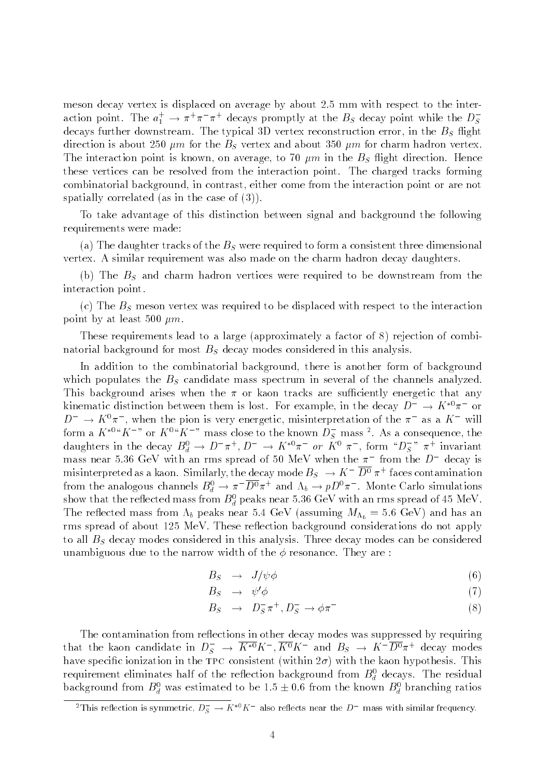meson decay vertex is displaced on average by about 2.5 mm with respect to the interaction point. The  $a_1^+ \to \pi^+ \pi^-$  decays promptly at the  $B_S$  decay point while the  $D_S^-$ Service and the service of the service of the service of the service of the service of the service of the service decays further downstream. The typical 3D vertex reconstruction error, in the  $B<sub>S</sub>$  flight direction is about 250  $\mu$ m for the  $B<sub>S</sub>$  vertex and about 350  $\mu$ m for charm hadron vertex. The interaction point is known, on average, to 70  $\mu$ m in the  $B<sub>S</sub>$  flight direction. Hence these vertices can be resolved from the interaction point. The charged tracks forming combinatorial background, in contrast, either come from the interaction point or are not spatially correlated (as in the case of (3)).

To take advantage of this distinction between signal and background the following requirements were made:

(a) The daughter tracks of the  $B<sub>S</sub>$  were required to form a consistent three dimensional vertex. A similar requirement was also made on the charm hadron decay daughters.

(b) The  $B<sub>S</sub>$  and charm hadron vertices were required to be downstream from the interaction point.

(c) The  $B<sub>S</sub>$  meson vertex was required to be displaced with respect to the interaction point by at least 500  $\mu$ m.

These requirements lead to a large (approximately a factor of 8) rejection of combinatorial background for most  $B<sub>S</sub>$  decay modes considered in this analysis.

In addition to the combinatorial background, there is another form of background which populates the  $B<sub>S</sub>$  candidate mass spectrum in several of the channels analyzed. This background arises when the  $\pi$  or kaon tracks are sufficiently energetic that any kinematic distinction between them is lost. For example, in the decay  $D \to K^+\pi^-$  or  $D \rightarrow \Lambda^+ \pi^-$ , when the pion is very energetic, misinterpretation of the  $\pi^-$  as a  $\Lambda^-$  will form a  $K^{\infty}K^{\infty}$  or  $K^{\infty}K^{\infty}$  mass close to the known  $D_S$  mass  $\tilde{\cdot}$ . As a consequence, the daughters in the decay  $B_d^{\gamma} \to D^- \pi^+, D^- \to K^{\gamma} \pi^- or K^{\gamma} \pi^-,$  form  $\mathcal{D}_S^{\gamma} \pi^+$  invariant mass near 5.36 GeV with an rins spread of 50 MeV when the  $\pi^-$  from the  $D^-$  decay is misinterpreted as a kaon. Similarly, the decay mode  $B_S \to K^- D^* \pi^+$  faces contamination from the analogous channels  $D_d \to \pi^+ D^* \pi^+$  and  $\Lambda_b \to p D^* \pi^-$ . Monte Carlo simulations show that the reflected mass from  $B_d^+$  peaks near 5.36 GeV with an rms spread of 45 MeV. The reflected mass from  $\Lambda_b$  peaks near 5.4 GeV (assuming  $M_{\Lambda_b} = 5.6$  GeV) and has an rms spread of about 125 MeV. These reflection background considerations do not apply to all  $B<sub>S</sub>$  decay modes considered in this analysis. Three decay modes can be considered unambiguous due to the narrow width of the  $\phi$  resonance. They are :

$$
B_S \rightarrow J/\psi \phi \tag{6}
$$

$$
B_S \rightarrow \psi' \phi \tag{7}
$$

$$
B_S \rightarrow D_S^- \pi^+, D_S^- \rightarrow \phi \pi^- \tag{8}
$$

The contamination from reflections in other decay modes was suppressed by requiring that the kaon candidate in  $D_S \to K^{\infty} K$  ,  $K^{\infty} K$  and  $B_S \to K^- D^{\circ} \pi^+$  decay modes have specific ionization in the TPC consistent (within  $2\sigma$ ) with the kaon hypothesis. This requirement eniminates half of the reflection background from  $D_d$  decays. The residual background from  $B_d$  was estimated to be 1.5  $\pm$  0.6 from the known  $B_d$  branching ratios

 $\tau$  i his reflection is symmetric,  $D_S \to K^{\infty} K^-$  also reflects near the  $D^-$  mass with similar frequency.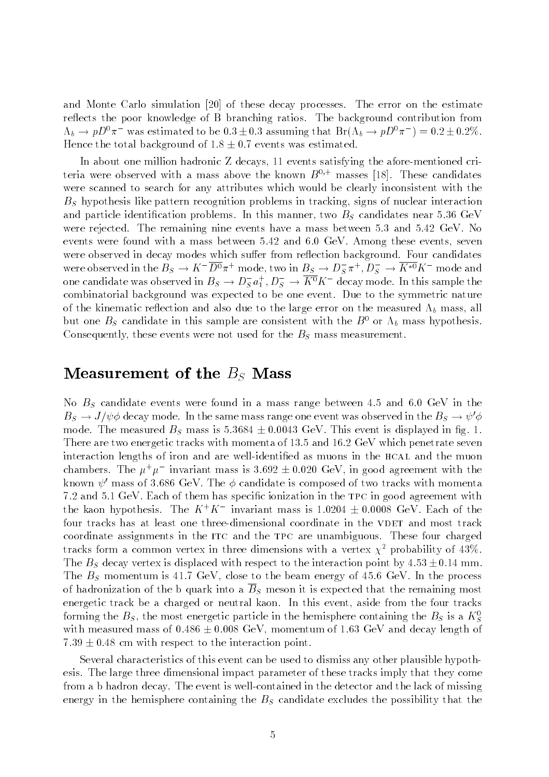and Monte Carlo simulation [20] of these decay processes. The error on the estimate reflects the poor knowledge of B branching ratios. The background contribution from  $\Lambda_b \to pD^*\pi^-$  was estimated to be 0.3  $\pm$  0.3 assuming that Br( $\Lambda_b \to pD^*\pi^-$  ) = 0.2  $\pm$  0.2%. Hence the total background of  $1.8 \pm 0.7$  events was estimated.

In about one million hadronic Z decays, 11 events satisfying the afore-mentioned criteria were observed with a mass above the known  $B^{0,+}$  masses [18]. These candidates were scanned to search for any attributes which would be clearly inconsistent with the  $B<sub>S</sub>$  hypothesis like pattern recognition problems in tracking, signs of nuclear interaction and particle identification problems. In this manner, two  $B<sub>S</sub>$  candidates near 5.36 GeV were rejected. The remaining nine events have a mass between 5.3 and 5.42 GeV. No events were found with a mass between 5.42 and 6.0 GeV. Among these events, seven were observed in decay modes which suffer from reflection background. Four candidates were observed in the  $B_S \to K^- D^0 \pi^+$  mode, two in  $B_S \to D_S^-\pi^+, D_S^- \to K^{*0}K^-$  mode and one candidate was observed in  $B_S \to D_S^{\vphantom{\dagger}} a_1^{\vphantom{\dagger}}, D_S^{\vphantom{\dagger}} \to K^{\vphantom{\dagger}} K^-$ decay mode. In this sample the combinatorial background was expected to be one event. Due to the symmetric nature of the kinematic reflection and also due to the large error on the measured  $\Lambda_b$  mass, all but one  $B<sub>S</sub>$  candidate in this sample are consistent with the  $B<sup>0</sup>$  or  $\Lambda<sub>b</sub>$  mass hypothesis. Consequently, these events were not used for the  $B<sub>S</sub>$  mass measurement.

## Measurement of the  $B_S$  Mass

No  $B<sub>S</sub>$  candidate events were found in a mass range between 4.5 and 6.0 GeV in the  $B_s \to J/\psi \phi$  decay mode. In the same mass range one event was observed in the  $B_s \to \psi' \phi$ mode. The measured  $B<sub>S</sub>$  mass is  $5.3684 \pm 0.0043$  GeV. This event is displayed in fig. 1. There are two energetic tracks with momenta of 13.5 and 16.2 GeV which penetrate seven interaction lengths of iron and are well-identified as muons in the HCAL and the muon chambers. The  $\mu^+\mu^-$  invariant mass is 5.092  $\pm$  0.020 GeV, in good agreement with the known  $\psi'$  mass of 3.686 GeV. The  $\phi$  candidate is composed of two tracks with momenta 7.2 and 5.1 GeV. Each of them has specic ionization in the tpc in good agreement with the kaon hypothesis. The  $K^+K^-$  invariant mass is 1.0204  $\pm$  0.0008 GeV. Each of the  $$ four tracks has at least one three-dimensional coordinate in the VDET and most track coordinate assignments in the ITC and the TPC are unambiguous. These four charged tracks form a common vertex in three dimensions with a vertex  $\chi^2$  probability of 43%. The  $B<sub>S</sub>$  decay vertex is displaced with respect to the interaction point by  $4.53 \pm 0.14$  mm. The  $B<sub>S</sub>$  momentum is 41.7 GeV, close to the beam energy of 45.6 GeV. In the process of hadronization of the b quark into a  $\overline{B}_S$  meson it is expected that the remaining most energetic track be a charged or neutral kaon. In this event, aside from the four tracks forming the  $B_S$ , the most energetic particle in the hemisphere containing the  $B_S$  is a  $\Lambda_S^+$ with measured mass of  $0.486 \pm 0.008$  GeV, momentum of 1.63 GeV and decay length of  $7.39 \pm 0.48$  cm with respect to the interaction point.

Several characteristics of this event can be used to dismiss any other plausible hypothesis. The large three dimensional impact parameter of these tracks imply that they come from a b hadron decay. The event is well-contained in the detector and the lack of missing energy in the hemisphere containing the  $B<sub>S</sub>$  candidate excludes the possibility that the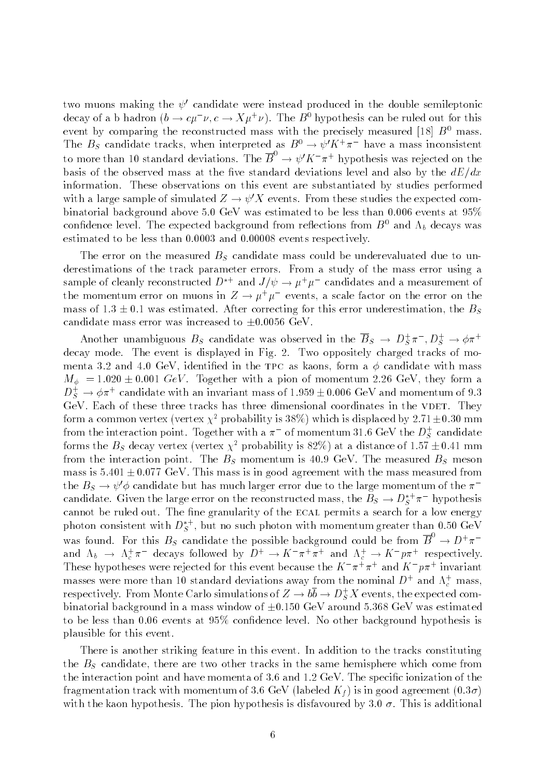two muons making the  $\psi'$  candidate were instead produced in the double semileptonic decay of a b hadron ( $\theta \to c\mu$   $\nu, \epsilon \to \Lambda \mu^+ \nu$ ). The B<sup>o</sup> hypothesis can be ruled out for this event by comparing the reconstructed mass with the precisely measured [18]  $B^0$  mass. The  $D_S$  candidate tracks, when interpreted as  $D^+ \to \psi \Lambda^+ \pi^-$  have a mass inconsistent to more than 10 standard deviations. The  $B^+ \to \psi' K^-\pi^+$  hypothesis was rejected on the basis of the observed mass at the five standard deviations level and also by the  $dE/dx$ information. These observations on this event are substantiated by studies performed with a large sample of simulated  $Z \to \psi' X$  events. From these studies the expected combinatorial background above 5.0 GeV was estimated to be less than 0.006 events at 95% confidence level. The expected background from reflections from  $B^0$  and  $\Lambda_b$  decays was estimated to be less than 0.0003 and 0.00008 events respectively.

The error on the measured  $B<sub>S</sub>$  candidate mass could be underevaluated due to underestimations of the track parameter errors. From a study of the mass error using a sample of cleanly reconstructed  $D+$  and  $J/\psi\to\mu^+\mu^-$  candidates and a measurement of the momentum error on muons in  $Z \to \mu^+ \mu^-$  events, a scale factor on the error on the mass of  $1.3 \pm 0.1$  was estimated. After correcting for this error underestimation, the  $B_s$ candidate mass error was increased to  $\pm 0.0056$  GeV.

Another unambiguous  $B_S$  candidate was observed in the  $B_S \to D_S^+ \pi^-$ ,  $D_S^+ \to \varphi \pi^+$ decay mode. The event is displayed in Fig. 2. Two oppositely charged tracks of momenta 3.2 and 4.0 GeV, identified in the TPC as kaons, form a  $\phi$  candidate with mass  $M_{\phi}$  = 1.020 ± 0.001 GeV. Together with a pion of momentum 2.26 GeV, they form a  $D_S^+ \to \phi \pi^+$  candidate with an invariant mass of 1.959  $\pm$  0.006 GeV and momentum of 9.3  $-$ GeV. Each of these three tracks has three dimensional coordinates in the VDET. They form a common vertex (vertex  $\chi^2$  probability is 38%) which is displaced by 2.71 $\pm$ 0.30 mm from the interaction point. Together with a  $\pi^-$  of momentum 31.6 GeV the  $D_S^+$  candidate forms the  $B_S$  decay vertex (vertex  $\chi^+$  probability is 82%) at a distance of 1.57  $\pm$  0.41 mm from the interaction point. The  $B<sub>S</sub>$  momentum is 40.9 GeV. The measured  $B<sub>S</sub>$  meson mass is  $5.401 \pm 0.077$  GeV. This mass is in good agreement with the mass measured from the  $B_s \to \psi' \phi$  candidate but has much larger error due to the large momentum of the  $\pi^$ candidate. Given the large error on the reconstructed mass, the  $B_S \to D_S^+ \pi^-$  hypothesis cannot be ruled out. The fine granularity of the ECAL permits a search for a low energy photon consistent with  $D_S^+$  , but no such photon with momentum greater than 0.50 GeV was found. For this  $B_S$  candidate the possible background could be from  $B \to D^+\pi^$ and  $\Lambda_b \to \Lambda_c^+ \pi^-$  decays followed by  $D^+ \to \Lambda^- \pi^+ \pi^+$  and  $\Lambda_c^+ \to \Lambda^- \bar{p} \pi^+$  respectively. **These hypotheses were rejected for this event because the**  $K+\pi+\pi$  **and**  $K+p\pi$  invariant masses were more than 10 standard deviations away from the nominal  $D^+$  and  $\Lambda_c^+$  mass, respectively. From Monte Carlo simulations of  $Z \to \bar{v} \bar{v} \to D^+_S X$  events, the expected combinatorial background in a mass window of  $\pm 0.150$  GeV around 5.368 GeV was estimated to be less than 0.06 events at 95% condence level. No other background hypothesis is plausible for this event.

There is another striking feature in this event. In addition to the tracks constituting the  $B<sub>S</sub>$  candidate, there are two other tracks in the same hemisphere which come from the interaction point and have momenta of 3.6 and 1.2 GeV. The specic ionization of the fragmentation track with momentum of 3.6 GeV (labeled  $K_f$ ) is in good agreement  $(0.3\sigma)$ with the kaon hypothesis. The pion hypothesis is disfavoured by 3.0  $\sigma$ . This is additional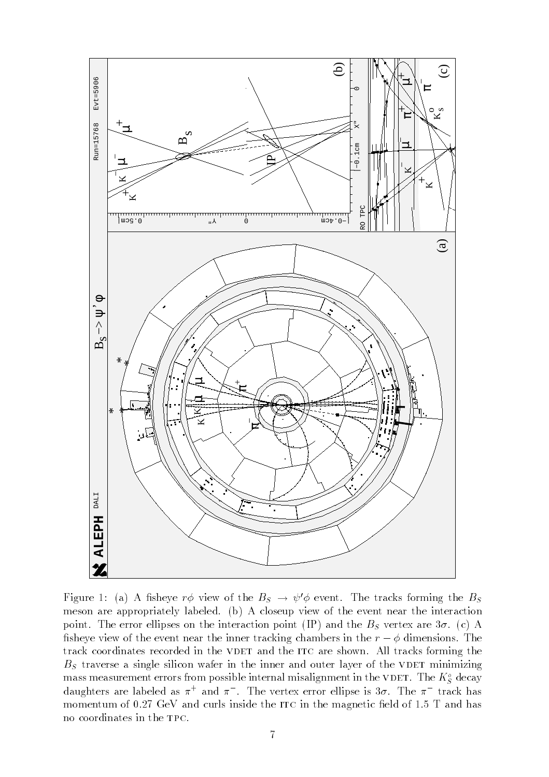

Figure 1: (a) A fisheye  $r\phi$  view of the  $B_s \rightarrow \psi' \phi$  event. The tracks forming the  $B_s$ meson are appropriately labeled. (b) A closeup view of the event near the interaction point. The error ellipses on the interaction point (IP) and the  $B<sub>S</sub>$  vertex are  $3\sigma$ . (c) A fisheye view of the event near the inner tracking chambers in the  $r - \phi$  dimensions. The track coordinates recorded in the VDET and the ITC are shown. All tracks forming the  $B<sub>S</sub>$  traverse a single silicon wafer in the inner and outer layer of the VDET minimizing mass measurement errors from possible internal misalignment in the VDET. The  $K_S^{\circ}$  decay daughters are labeled as  $\pi^+$  and  $\pi^-$  . The vertex error ellipse is 30. The  $\pi^-$  track has momentum of  $0.27 \text{ GeV}$  and curls inside the ITC in the magnetic field of  $1.5 \text{ T}$  and has no coordinates in the tpc.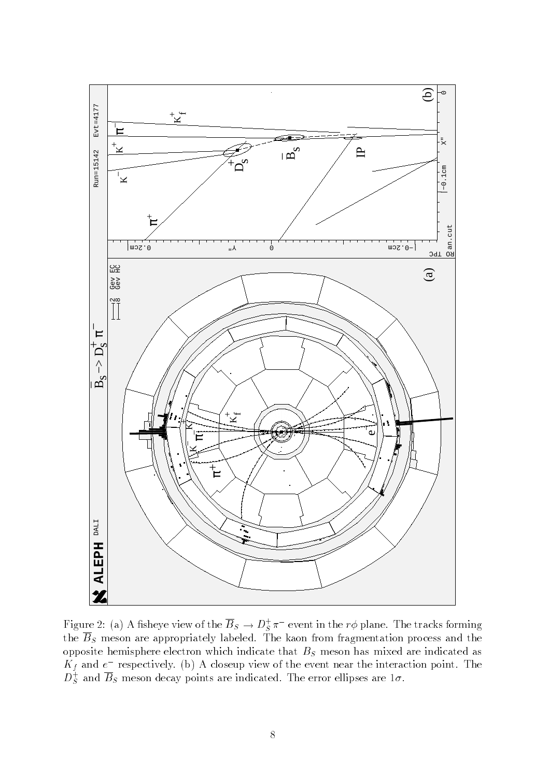

Figure 2: (a) A fisheye view of the  $B_S \to D_S^+\pi^-$  event in the  $r\phi$  plane. The tracks forming the  $\overline{B}_S$  meson are appropriately labeled. The kaon from fragmentation process and the opposite hemisphere electron which indicate that  $B<sub>S</sub>$  meson has mixed are indicated as  $K_f$  and  $e$  -respectively. (b) A closeup view of the event near the interaction point. The  $D_S^+$  and  $B_S^-$  meson decay points are indicated. The error ellipses are 1 $\sigma.$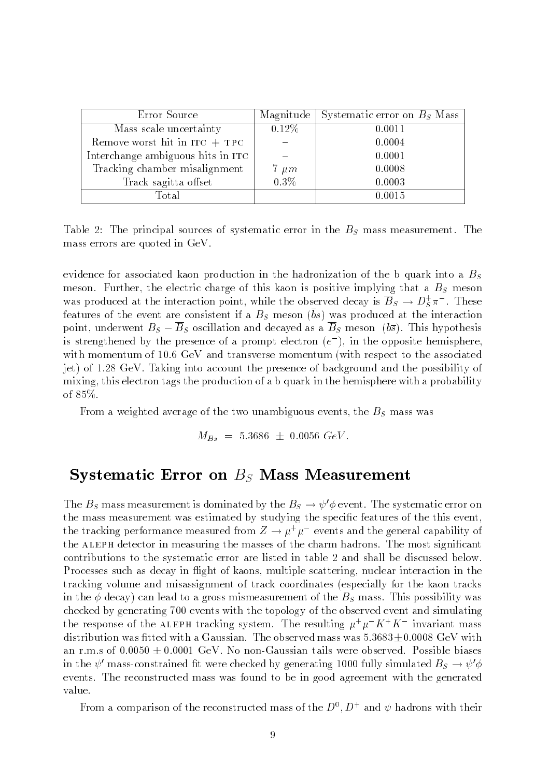| Error Source                      |                   | Magnitude Systematic error on $B_s$ Mass |
|-----------------------------------|-------------------|------------------------------------------|
| Mass scale uncertainty            | $0.12\%$          | 0.0011                                   |
| Remove worst hit in $ITC + TPC$   |                   | 0.0004                                   |
| Interchange ambiguous hits in ITC |                   | 0.0001                                   |
| Tracking chamber misalignment     | $\frac{7}{0.3\%}$ | 0.0008                                   |
| Track sagitta offset              |                   | 0.0003                                   |
| Total                             |                   | 0.0015                                   |

Table 2: The principal sources of systematic error in the  $B<sub>S</sub>$  mass measurement. The mass errors are quoted in GeV.

evidence for associated kaon production in the hadronization of the b quark into a  $B<sub>S</sub>$ meson. Further, the electric charge of this kaon is positive implying that a  $B<sub>S</sub>$  meson was produced at the interaction point, while the observed decay is  $B_S \to D_S^+ \pi^-$  . These features of the event are consistent if a  $B<sub>S</sub>$  meson ( $\overline{b}$ s) was produced at the interaction point, underwent  $B_s - B_s$  oscillation and decayed as a  $B_s$  meson ( $b\overline{s}$ ). This hypothesis is strengthened by the presence of a prompt electron ( $e$  ), in the opposite hemisphere,  $\overline{\phantom{a}}$ with momentum of 10.6 GeV and transverse momentum (with respect to the associated jet) of 1.28 GeV. Taking into account the presence of background and the possibility of mixing, this electron tags the production of a b quark in the hemisphere with a probability of 85%.

From a weighted average of the two unambiguous events, the  $B<sub>S</sub>$  mass was

$$
M_{Bs} = 5.3686 \pm 0.0056 \ GeV.
$$

### Systematic Error on  $B<sub>S</sub>$  Mass Measurement

The  $B_S$  mass measurement is dominated by the  $B_S \to \psi' \phi$  event. The systematic error on the mass measurement was estimated by studying the specific features of the this event. the tracking performance measured from  $Z \to \mu^+ \mu^-$  events and the general capability of the ALEPH detector in measuring the masses of the charm hadrons. The most significant contributions to the systematic error are listed in table 2 and shall be discussed below. Processes such as decay in flight of kaons, multiple scattering, nuclear interaction in the tracking volume and misassignment of track coordinates (especially for the kaon tracks in the  $\phi$  decay) can lead to a gross mismeasurement of the  $B<sub>S</sub>$  mass. This possibility was checked by generating 700 events with the topology of the observed event and simulating the response of the ALEPH tracking system. The resulting  $\mu^+\mu^-K^+K^-$  invariant mass distribution was fitted with a Gaussian. The observed mass was  $5.3683\pm0.0008$  GeV with an r.m.s of  $0.0050 \pm 0.0001$  GeV. No non-Gaussian tails were observed. Possible biases in the  $\psi'$  mass-constrained fit were checked by generating 1000 fully simulated  $B_s \to \psi' \phi$ events. The reconstructed mass was found to be in good agreement with the generated value.

From a comparison of the reconstructed mass of the  $D^+, D^+$  and  $\psi$  hadrons with their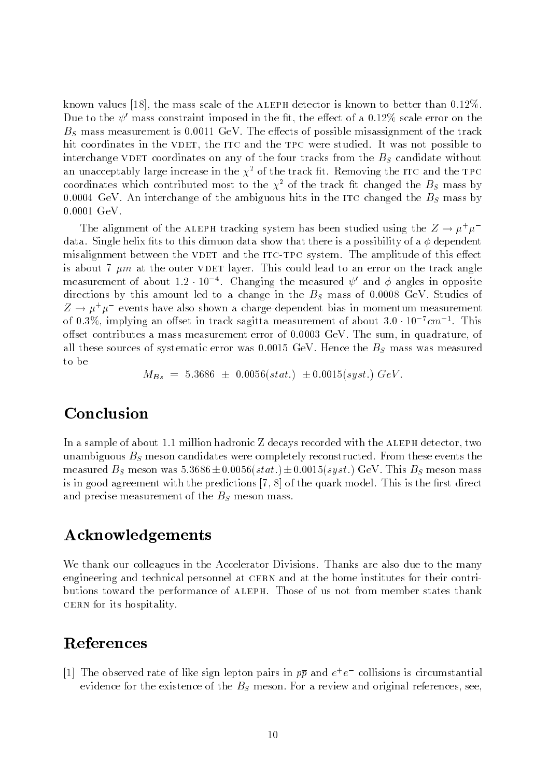known values [18], the mass scale of the ALEPH detector is known to better than  $0.12\%$ . Due to the  $\psi'$  mass constraint imposed in the fit, the effect of a 0.12% scale error on the  $B<sub>S</sub>$  mass measurement is 0.0011 GeV. The effects of possible misassignment of the track hit coordinates in the VDET, the ITC and the TPC were studied. It was not possible to interchange VDET coordinates on any of the four tracks from the  $B<sub>S</sub>$  candidate without an unacceptably large increase in the  $\chi^2$  of the track fit. Removing the ITC and the TPC coordinates which contributed most to the  $\chi^2$  of the track fit changed the  $B_s$  mass by 0.0004 GeV. An interchange of the ambiguous hits in the ITC changed the  $B<sub>S</sub>$  mass by 0.0001 GeV.

The alignment of the ALEPH tracking system has been studied using the  $Z \rightarrow \mu^+\mu^$ data. Single helix fits to this dimuon data show that there is a possibility of a  $\phi$  dependent misalignment between the VDET and the ITC-TPC system. The amplitude of this effect is about 7  $\mu$ m at the outer VDET layer. This could lead to an error on the track angle measurement of about 1.2  $\pm$  10  $\pm$  Changing the measured  $\psi$  and  $\phi$  angles in opposite directions by this amount led to a change in the  $B<sub>S</sub>$  mass of 0.0008 GeV. Studies of  $Z \rightarrow \mu^+ \mu^-$  events have also shown a charge-dependent bias in momentum measurement of  $0.3\%$ , implying an offset in track sagitta measurement of about  $3.0\cdot10^{-7}cm^{-1}$  . This offset contributes a mass measurement error of  $0.0003$  GeV. The sum, in quadrature, of all these sources of systematic error was  $0.0015$  GeV. Hence the  $B<sub>S</sub>$  mass was measured to be

 $M_{Bs}$  = 5.3686  $\pm$  0.0056(stat.)  $\pm$  0.0015(syst.) GeV.

# Conclusion

In a sample of about 1.1 million hadronic Z decays recorded with the ALEPH detector, two unambiguous  $B<sub>S</sub>$  meson candidates were completely reconstructed. From these events the measured  $B<sub>S</sub>$  meson was  $5.3686 \pm 0.0056(stat.) \pm 0.0015(syst.)$  GeV. This  $B<sub>S</sub>$  meson mass is in good agreement with the predictions  $[7, 8]$  of the quark model. This is the first direct and precise measurement of the  $B<sub>S</sub>$  meson mass.

# Acknowledgements

We thank our colleagues in the Accelerator Divisions. Thanks are also due to the many engineering and technical personnel at CERN and at the home institutes for their contributions toward the performance of ALEPH. Those of us not from member states thank cern for its hospitality.

# References

 $|1|$  the observed rate of like sign lepton pairs in  $pp$  and  $e^+e^-$  conisions is circumstantial evidence for the existence of the  $B<sub>S</sub>$  meson. For a review and original references, see,